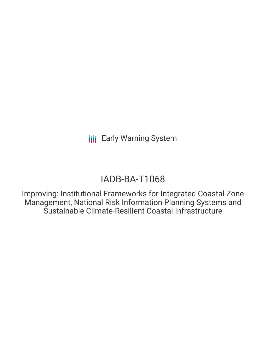# IADB-BA-T1068

Improving: Institutional Frameworks for Integrated Coastal Zone Management, National Risk Information Planning Systems and Sustainable Climate-Resilient Coastal Infrastructure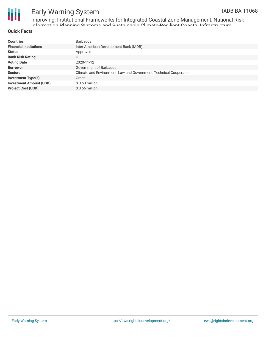

Improving: Institutional Frameworks for Integrated Coastal Zone Management, National Risk Information Planning Systems and Sustainable Climate-Resilient Coastal Infrastructure

#### **Quick Facts**

| <b>Countries</b>               | <b>Barbados</b>                                                    |
|--------------------------------|--------------------------------------------------------------------|
| <b>Financial Institutions</b>  | Inter-American Development Bank (IADB)                             |
| <b>Status</b>                  | Approved                                                           |
| <b>Bank Risk Rating</b>        | С                                                                  |
| <b>Voting Date</b>             | 2020-11-12                                                         |
| <b>Borrower</b>                | Government of Barbados                                             |
| <b>Sectors</b>                 | Climate and Environment, Law and Government, Technical Cooperation |
| <b>Investment Type(s)</b>      | Grant                                                              |
| <b>Investment Amount (USD)</b> | $$0.50$ million                                                    |
| <b>Project Cost (USD)</b>      | $$0.56$ million                                                    |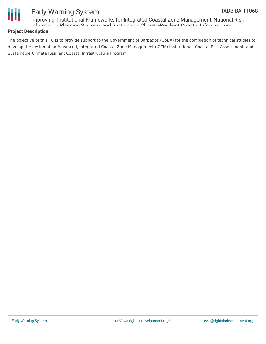

Improving: Institutional Frameworks for Integrated Coastal Zone Management, National Risk Information Planning Systems and Sustainable Climate-Resilient Coastal Infrastructure

#### **Project Description**

The objective of this TC is to provide support to the Government of Barbados (GoBA) for the completion of technical studies to develop the design of an Advanced, Integrated Coastal Zone Management (ICZM) Institutional, Coastal Risk Assessment, and Sustainable Climate Resilient Coastal Infrastructure Program.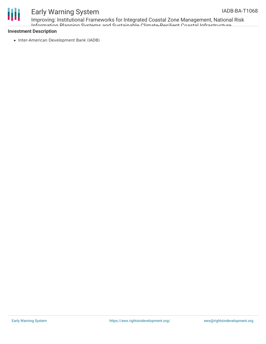

Improving: Institutional Frameworks for Integrated Coastal Zone Management, National Risk Information Planning Systems and Sustainable Climate-Resilient Coastal Infrastructure

#### **Investment Description**

• Inter-American Development Bank (IADB)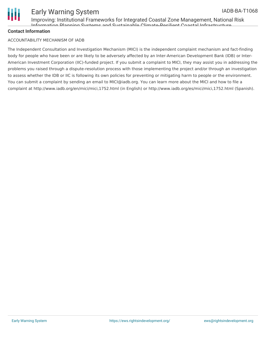

Improving: Institutional Frameworks for Integrated Coastal Zone Management, National Risk Information Planning Systems and Sustainable Climate-Resilient Coastal Infrastructure

#### **Contact Information**

#### ACCOUNTABILITY MECHANISM OF IADB

The Independent Consultation and Investigation Mechanism (MICI) is the independent complaint mechanism and fact-finding body for people who have been or are likely to be adversely affected by an Inter-American Development Bank (IDB) or Inter-American Investment Corporation (IIC)-funded project. If you submit a complaint to MICI, they may assist you in addressing the problems you raised through a dispute-resolution process with those implementing the project and/or through an investigation to assess whether the IDB or IIC is following its own policies for preventing or mitigating harm to people or the environment. You can submit a complaint by sending an email to MICI@iadb.org. You can learn more about the MICI and how to file a complaint at http://www.iadb.org/en/mici/mici,1752.html (in English) or http://www.iadb.org/es/mici/mici,1752.html (Spanish).